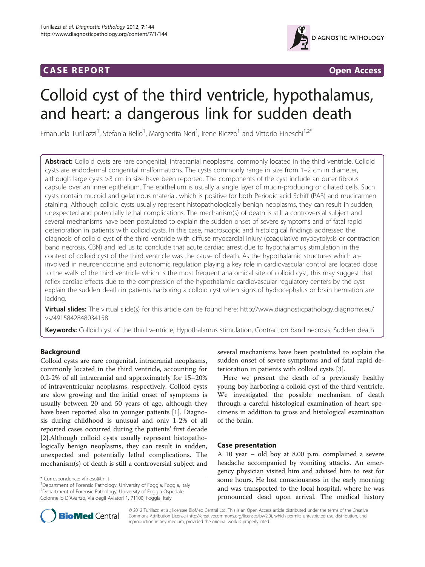## **CASE REPORT CASE REPORT**



# Colloid cyst of the third ventricle, hypothalamus, and heart: a dangerous link for sudden death

Emanuela Turillazzi<sup>1</sup>, Stefania Bello<sup>1</sup>, Margherita Neri<sup>1</sup>, Irene Riezzo<sup>1</sup> and Vittorio Fineschi<sup>1,2\*</sup>

Abstract: Colloid cysts are rare congenital, intracranial neoplasms, commonly located in the third ventricle. Colloid cysts are endodermal congenital malformations. The cysts commonly range in size from 1–2 cm in diameter, although large cysts >3 cm in size have been reported. The components of the cyst include an outer fibrous capsule over an inner epithelium. The epithelium is usually a single layer of mucin-producing or ciliated cells. Such cysts contain mucoid and gelatinous material, which is positive for both Periodic acid Schiff (PAS) and mucicarmen staining. Although colloid cysts usually represent histopathologically benign neoplasms, they can result in sudden, unexpected and potentially lethal complications. The mechanism(s) of death is still a controversial subject and several mechanisms have been postulated to explain the sudden onset of severe symptoms and of fatal rapid deterioration in patients with colloid cysts. In this case, macroscopic and histological findings addressed the diagnosis of colloid cyst of the third ventricle with diffuse myocardial injury (coagulative myocytolysis or contraction band necrosis, CBN) and led us to conclude that acute cardiac arrest due to hypothalamus stimulation in the context of colloid cyst of the third ventricle was the cause of death. As the hypothalamic structures which are involved in neuroendocrine and autonomic regulation playing a key role in cardiovascular control are located close to the walls of the third ventricle which is the most frequent anatomical site of colloid cyst, this may suggest that reflex cardiac effects due to the compression of the hypothalamic cardiovascular regulatory centers by the cyst explain the sudden death in patients harboring a colloid cyst when signs of hydrocephalus or brain herniation are lacking.

Virtual slides: The virtual slide(s) for this article can be found here: [http://www.diagnosticpathology.diagnomx.eu/](http://www.diagnosticpathology.diagnomx.eu/vs/4915842848034158) [vs/4915842848034158](http://www.diagnosticpathology.diagnomx.eu/vs/4915842848034158)

Keywords: Colloid cyst of the third ventricle, Hypothalamus stimulation, Contraction band necrosis, Sudden death

## Background

Colloid cysts are rare congenital, intracranial neoplasms, commonly located in the third ventricle, accounting for 0.2-2% of all intracranial and approximately for 15–20% of intraventricular neoplasms, respectively. Colloid cysts are slow growing and the initial onset of symptoms is usually between 20 and 50 years of age, although they have been reported also in younger patients [\[1](#page-4-0)]. Diagnosis during childhood is unusual and only 1-2% of all reported cases occurred during the patients' first decade [[2\]](#page-4-0).Although colloid cysts usually represent histopathologically benign neoplasms, they can result in sudden, unexpected and potentially lethal complications. The mechanism(s) of death is still a controversial subject and several mechanisms have been postulated to explain the sudden onset of severe symptoms and of fatal rapid deterioration in patients with colloid cysts [[3\]](#page-4-0).

Here we present the death of a previously healthy young boy harboring a colloid cyst of the third ventricle. We investigated the possible mechanism of death through a careful histological examination of heart specimens in addition to gross and histological examination of the brain.

## Case presentation

A 10 year – old boy at 8.00 p.m. complained a severe headache accompanied by vomiting attacks. An emergency physician visited him and advised him to rest for some hours. He lost consciousness in the early morning and was transported to the local hospital, where he was pronounced dead upon arrival. The medical history



© 2012 Turillazzi et al.; licensee BioMed Central Ltd. This is an Open Access article distributed under the terms of the Creative Commons Attribution License [\(http://creativecommons.org/licenses/by/2.0\)](http://creativecommons.org/licenses/by/2.0), which permits unrestricted use, distribution, and reproduction in any medium, provided the original work is properly cited.

<sup>\*</sup> Correspondence: [vfinesc@tin.it](mailto:vfinesc@tin.it) <sup>1</sup>

<sup>&</sup>lt;sup>1</sup>Department of Forensic Pathology, University of Foggia, Foggia, Italy 2 Department of Forensic Pathology, University of Foggia Ospedale Colonnello D'Avanzo, Via degli Aviatori 1, 71100, Foggia, Italy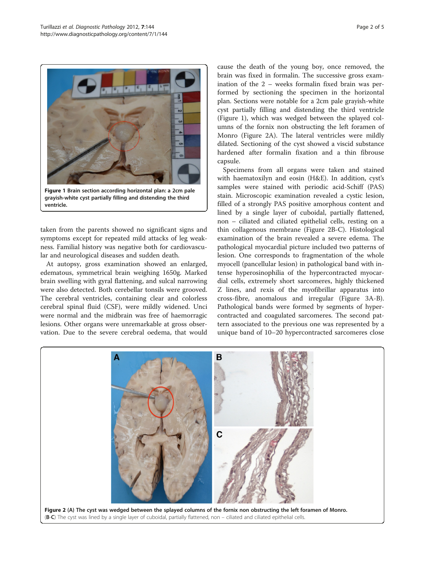

grayish-white cyst partially filling and distending the third ventricle.

taken from the parents showed no significant signs and symptoms except for repeated mild attacks of leg weakness. Familial history was negative both for cardiovascular and neurological diseases and sudden death.

At autopsy, gross examination showed an enlarged, edematous, symmetrical brain weighing 1650g. Marked brain swelling with gyral flattening, and sulcal narrowing were also detected. Both cerebellar tonsils were grooved. The cerebral ventricles, containing clear and colorless cerebral spinal fluid (CSF), were mildly widened. Unci were normal and the midbrain was free of haemorragic lesions. Other organs were unremarkable at gross observation. Due to the severe cerebral oedema, that would cause the death of the young boy, once removed, the brain was fixed in formalin. The successive gross examination of the 2 – weeks formalin fixed brain was performed by sectioning the specimen in the horizontal plan. Sections were notable for a 2cm pale grayish-white cyst partially filling and distending the third ventricle (Figure 1), which was wedged between the splayed columns of the fornix non obstructing the left foramen of Monro (Figure 2A). The lateral ventricles were mildly dilated. Sectioning of the cyst showed a viscid substance hardened after formalin fixation and a thin fibrouse capsule.

Specimens from all organs were taken and stained with haematoxilyn and eosin (H&E). In addition, cyst's samples were stained with periodic acid-Schiff (PAS) stain. Microscopic examination revealed a cystic lesion, filled of a strongly PAS positive amorphous content and lined by a single layer of cuboidal, partially flattened, non – ciliated and ciliated epithelial cells, resting on a thin collagenous membrane (Figure 2B-C). Histological examination of the brain revealed a severe edema. The pathological myocardial picture included two patterns of lesion. One corresponds to fragmentation of the whole myocell (pancellular lesion) in pathological band with intense hyperosinophilia of the hypercontracted myocardial cells, extremely short sarcomeres, highly thickened Z lines, and rexis of the myofibrillar apparatus into cross-fibre, anomalous and irregular (Figure [3A-B](#page-2-0)). Pathological bands were formed by segments of hypercontracted and coagulated sarcomeres. The second pattern associated to the previous one was represented by a unique band of 10–20 hypercontracted sarcomeres close

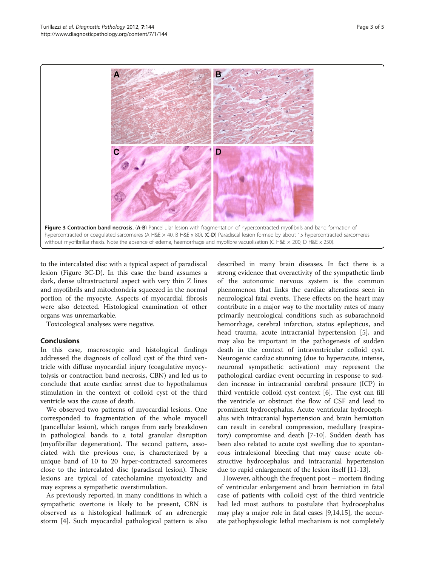<span id="page-2-0"></span>

to the intercalated disc with a typical aspect of paradiscal lesion (Figure 3C-D). In this case the band assumes a dark, dense ultrastructural aspect with very thin Z lines and myofibrils and mitochondria squeezed in the normal portion of the myocyte. Aspects of myocardial fibrosis were also detected. Histological examination of other organs was unremarkable.

Toxicological analyses were negative.

## Conclusions

In this case, macroscopic and histological findings addressed the diagnosis of colloid cyst of the third ventricle with diffuse myocardial injury (coagulative myocytolysis or contraction band necrosis, CBN) and led us to conclude that acute cardiac arrest due to hypothalamus stimulation in the context of colloid cyst of the third ventricle was the cause of death.

We observed two patterns of myocardial lesions. One corresponded to fragmentation of the whole myocell (pancellular lesion), which ranges from early breakdown in pathological bands to a total granular disruption (myofibrillar degeneration). The second pattern, associated with the previous one, is characterized by a unique band of 10 to 20 hyper-contracted sarcomeres close to the intercalated disc (paradiscal lesion). These lesions are typical of catecholamine myotoxicity and may express a sympathetic overstimulation.

As previously reported, in many conditions in which a sympathetic overtone is likely to be present, CBN is observed as a histological hallmark of an adrenergic storm [\[4](#page-4-0)]. Such myocardial pathological pattern is also

described in many brain diseases. In fact there is a strong evidence that overactivity of the sympathetic limb of the autonomic nervous system is the common phenomenon that links the cardiac alterations seen in neurological fatal events. These effects on the heart may contribute in a major way to the mortality rates of many primarily neurological conditions such as subarachnoid hemorrhage, cerebral infarction, status epilepticus, and head trauma, acute intracranial hypertension [[5\]](#page-4-0), and may also be important in the pathogenesis of sudden death in the context of intraventricular colloid cyst. Neurogenic cardiac stunning (due to hyperacute, intense, neuronal sympathetic activation) may represent the pathological cardiac event occurring in response to sudden increase in intracranial cerebral pressure (ICP) in third ventricle colloid cyst context [\[6\]](#page-4-0). The cyst can fill the ventricle or obstruct the flow of CSF and lead to prominent hydrocephalus. Acute ventricular hydrocephalus with intracranial hypertension and brain herniation can result in cerebral compression, medullary (respiratory) compromise and death [\[7](#page-4-0)-[10\]](#page-4-0). Sudden death has been also related to acute cyst swelling due to spontaneous intralesional bleeding that may cause acute obstructive hydrocephalus and intracranial hypertension due to rapid enlargement of the lesion itself [[11](#page-4-0)-[13\]](#page-4-0).

However, although the frequent post – mortem finding of ventricular enlargement and brain herniation in fatal case of patients with colloid cyst of the third ventricle had led most authors to postulate that hydrocephalus may play a major role in fatal cases [\[9,14,15\]](#page-4-0), the accurate pathophysiologic lethal mechanism is not completely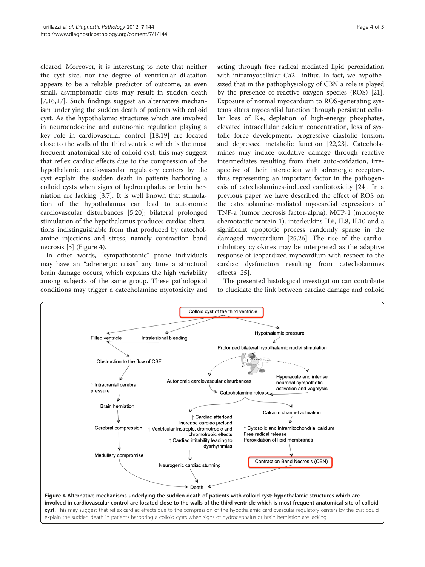cleared. Moreover, it is interesting to note that neither the cyst size, nor the degree of ventricular dilatation appears to be a reliable predictor of outcome, as even small, asymptomatic cists may result in sudden death [[7,16,17\]](#page-4-0). Such findings suggest an alternative mechanism underlying the sudden death of patients with colloid cyst. As the hypothalamic structures which are involved in neuroendocrine and autonomic regulation playing a key role in cardiovascular control [[18,19\]](#page-4-0) are located close to the walls of the third ventricle which is the most frequent anatomical site of colloid cyst, this may suggest that reflex cardiac effects due to the compression of the hypothalamic cardiovascular regulatory centers by the cyst explain the sudden death in patients harboring a colloid cysts when signs of hydrocephalus or brain herniation are lacking [\[3,7](#page-4-0)]. It is well known that stimulation of the hypothalamus can lead to autonomic cardiovascular disturbances [[5,20\]](#page-4-0); bilateral prolonged stimulation of the hypothalamus produces cardiac alterations indistinguishable from that produced by catecholamine injections and stress, namely contraction band necrosis [\[5\]](#page-4-0) (Figure 4).

In other words, "sympathotonic" prone individuals may have an "adrenergic crisis" any time a structural brain damage occurs, which explains the high variability among subjects of the same group. These pathological conditions may trigger a catecholamine myotoxicity and

acting through free radical mediated lipid peroxidation with intramyocellular Ca2+ influx. In fact, we hypothesized that in the pathophysiology of CBN a role is played by the presence of reactive oxygen species (ROS) [\[21](#page-4-0)]. Exposure of normal myocardium to ROS-generating systems alters myocardial function through persistent cellular loss of K+, depletion of high-energy phosphates, elevated intracellular calcium concentration, loss of systolic force development, progressive diastolic tension, and depressed metabolic function [\[22,23](#page-4-0)]. Catecholamines may induce oxidative damage through reactive intermediates resulting from their auto-oxidation, irrespective of their interaction with adrenergic receptors, thus representing an important factor in the pathogenesis of catecholamines-induced cardiotoxicity [[24\]](#page-4-0). In a previous paper we have described the effect of ROS on the catecholamine-mediated myocardial expressions of TNF-a (tumor necrosis factor-alpha), MCP-1 (monocyte chemotactic protein-1), interleukins IL6, IL8, IL10 and a significant apoptotic process randomly sparse in the damaged myocardium [[25,26\]](#page-4-0). The rise of the cardioinhibitory cytokines may be interpreted as the adaptive response of jeopardized myocardium with respect to the cardiac dysfunction resulting from catecholamines effects [[25\]](#page-4-0).

The presented histological investigation can contribute to elucidate the link between cardiac damage and colloid